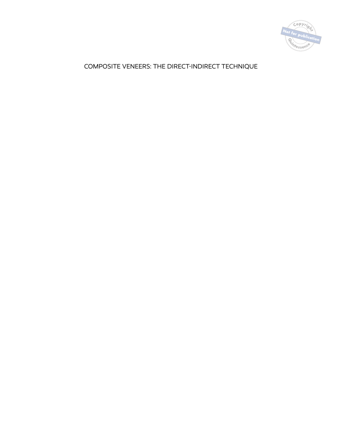

# COMPOSITE VENEERS: THE DIRECT-INDIRECT TECHNIQUE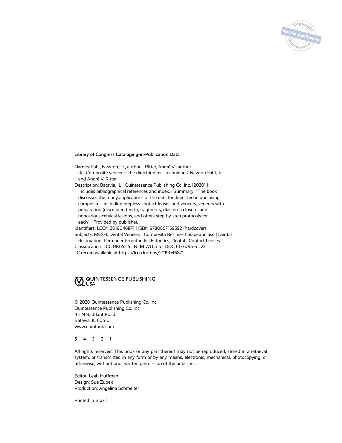

## Library of Congress Cataloging-in-Publication Data

Names: Fahl, Newton, Jr., author. | Ritter, André V., author.

Title: Composite veneers : the direct-indirect technique / Newton Fahl, Jr. and André V. Ritter.

Description: Batavia, IL : Quintessence Publishing Co, Inc, [2020] | Includes bibliographical references and index. | Summary: "The book discusses the many applications of the direct-indirect technique using composites, including prepless contact lenses and veneers, veneers with preparation (discolored teeth), fragments, diastema closure, and noncarious cervical lesions, and offers step-by-step protocols for each"-- Provided by publisher.

Identifiers: LCCN 2019046871 | ISBN 9780867159592 (hardcover) Subjects: MESH: Dental Veneers | Composite Resins--therapeutic use | Dental Restoration, Permanent--methods | Esthetics, Dental | Contact Lenses Classification: LCC RK652.5 | NLM WU 515 | DDC 617.6/95--dc23 LC record available at https://lccn.loc.gov/2019046871



© 2020 Quintessence Publishing Co, Inc Quintessence Publishing Co, Inc 411 N Raddant Road Batavia, IL 60510 www.quintpub.com

5 4 3 2 1

All rights reserved. This book or any part thereof may not be reproduced, stored in a retrieval system, or transmitted in any form or by any means, electronic, mechanical, photocopying, or otherwise, without prior written permission of the publisher.

Editor: Leah Huffman Design: Sue Zubek Production: Angelina Schmelter

Printed in Brazil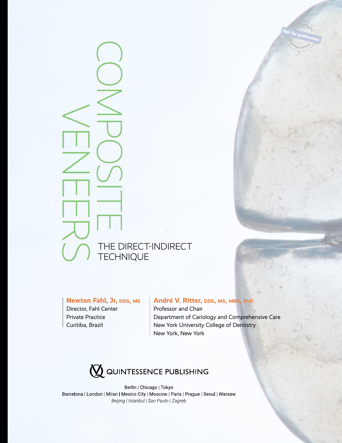# THE DIRECT-INDIRECT<br>TECHNIQUE O<br>COMPOSITECHNIQUE VENEERS

**Newton Fahl, Jr, DDS, MS** Director, Fahl Center Private Practice Curitiba, Brazil

**André V. Ritter, DDS, MS, MBA, PhD** Professor and Chair Department of Cariology and Comprehensive Care New York University College of Dentistry New York, New York



Berlin | Chicago | Tokyo Barcelona | London | Milan | Mexico City | Moscow | Paris | Prague | Seoul | Warsaw Beijing | Istanbul | Sao Paulo | Zagreb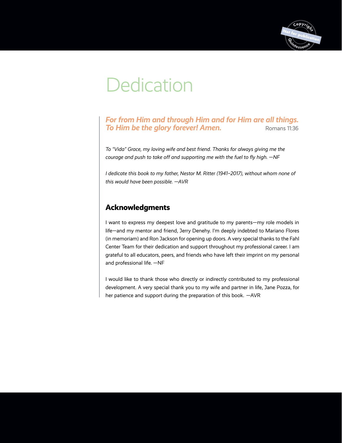

# **Dedication**

*For from Him and through Him and for Him are all things.*  **To Him be the glory forever! Amen.** Romans 11:36

*To "Vida" Grace, my loving wife and best friend. Thanks for always giving me the courage and push to take off and supporting me with the fuel to fly high. —NF*

*I dedicate this book to my father, Nestor M. Ritter (1941–2017), without whom none of this would have been possible. —AVR*

# **Acknowledgments**

I want to express my deepest love and gratitude to my parents—my role models in life—and my mentor and friend, Jerry Denehy. I'm deeply indebted to Mariano Flores (in memoriam) and Ron Jackson for opening up doors. A very special thanks to the Fahl Center Team for their dedication and support throughout my professional career. I am grateful to all educators, peers, and friends who have left their imprint on my personal and professional life. —NF

I would like to thank those who directly or indirectly contributed to my professional development. A very special thank you to my wife and partner in life, Jane Pozza, for her patience and support during the preparation of this book. —AVR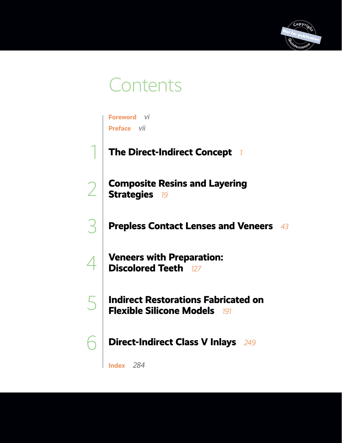

# **Contents**

| Foreword       | vi  |
|----------------|-----|
| <b>Preface</b> | VII |

1

2

3

4

5

6

**The Direct-Indirect Concept** *1*

**Composite Resins and Layering Strategies** *19*

**Prepless Contact Lenses and Veneers** *43*

**Veneers with Preparation: Discolored Teeth** *127*

**Indirect Restorations Fabricated on Flexible Silicone Models** *191*

**Direct-Indirect Class V Inlays** *249*

**Index** *284*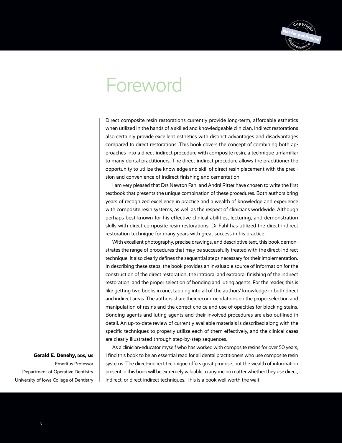

# Foreword

Direct composite resin restorations currently provide long-term, affordable esthetics when utilized in the hands of a skilled and knowledgeable clinician. Indirect restorations also certainly provide excellent esthetics with distinct advantages and disadvantages compared to direct restorations. This book covers the concept of combining both approaches into a direct-indirect procedure with composite resin, a technique unfamiliar to many dental practitioners. The direct-indirect procedure allows the practitioner the opportunity to utilize the knowledge and skill of direct resin placement with the precision and convenience of indirect finishing and cementation.

I am very pleased that Drs Newton Fahl and André Ritter have chosen to write the first textbook that presents the unique combination of these procedures. Both authors bring years of recognized excellence in practice and a wealth of knowledge and experience with composite resin systems, as well as the respect of clinicians worldwide. Although perhaps best known for his effective clinical abilities, lecturing, and demonstration skills with direct composite resin restorations, Dr Fahl has utilized the direct-indirect restoration technique for many years with great success in his practice.

With excellent photography, precise drawings, and descriptive text, this book demonstrates the range of procedures that may be successfully treated with the direct-indirect technique. It also clearly defines the sequential steps necessary for their implementation. In describing these steps, the book provides an invaluable source of information for the construction of the direct restoration, the intraoral and extraoral finishing of the indirect restoration, and the proper selection of bonding and luting agents. For the reader, this is like getting two books in one, tapping into all of the authors' knowledge in both direct and indirect areas. The authors share their recommendations on the proper selection and manipulation of resins and the correct choice and use of opacities for blocking stains. Bonding agents and luting agents and their involved procedures are also outlined in detail. An up-to-date review of currently available materials is described along with the specific techniques to properly utilize each of them effectively, and the clinical cases are clearly illustrated through step-by-step sequences.

**Gerald E. Denehy, DDS, MS** Emeritus Professor Department of Operative Dentistry University of Iowa College of Dentistry

As a clinician-educator myself who has worked with composite resins for over 50 years, I find this book to be an essential read for all dental practitioners who use composite resin systems. The direct-indirect technique offers great promise, but the wealth of information present in this book will be extremely valuable to anyone no matter whether they use direct, indirect, or direct-indirect techniques. This is a book well worth the wait!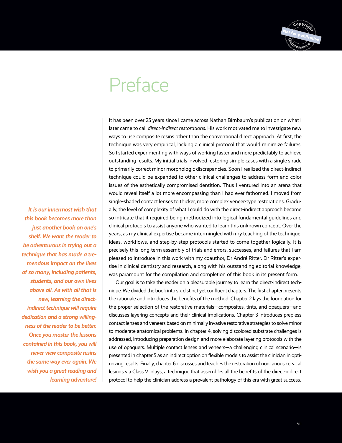

# Preface

It has been over 25 years since I came across Nathan Birnbaum's publication on what I later came to call *direct-indirect restorations*. His work motivated me to investigate new ways to use composite resins other than the conventional direct approach. At first, the technique was very empirical, lacking a clinical protocol that would minimize failures. So I started experimenting with ways of working faster and more predictably to achieve outstanding results. My initial trials involved restoring simple cases with a single shade to primarily correct minor morphologic discrepancies. Soon I realized the direct-indirect technique could be expanded to other clinical challenges to address form and color issues of the esthetically compromised dentition. Thus I ventured into an arena that would reveal itself a lot more encompassing than I had ever fathomed. I moved from single-shaded contact lenses to thicker, more complex veneer-type restorations. Gradually, the level of complexity of what I could do with the direct-indirect approach became so intricate that it required being methodized into logical fundamental guidelines and clinical protocols to assist anyone who wanted to learn this unknown concept. Over the years, as my clinical expertise became intermingled with my teaching of the technique, ideas, workflows, and step-by-step protocols started to come together logically. It is precisely this long-term assembly of trials and errors, successes, and failures that I am pleased to introduce in this work with my coauthor, Dr André Ritter. Dr Ritter's expertise in clinical dentistry and research, along with his outstanding editorial knowledge, was paramount for the compilation and completion of this book in its present form.

Our goal is to take the reader on a pleasurable journey to learn the direct-indirect technique. We divided the book into six distinct yet confluent chapters. The first chapter presents the rationale and introduces the benefits of the method. Chapter 2 lays the foundation for the proper selection of the restorative materials—composites, tints, and opaquers—and discusses layering concepts and their clinical implications. Chapter 3 introduces prepless contact lenses and veneers based on minimally invasive restorative strategies to solve minor to moderate anatomical problems. In chapter 4, solving discolored substrate challenges is addressed, introducing preparation design and more elaborate layering protocols with the use of opaquers. Multiple contact lenses and veneers—a challenging clinical scenario—is presented in chapter 5 as an indirect option on flexible models to assist the clinician in optimizing results. Finally, chapter 6 discusses and teaches the restoration of noncarious cervical lesions via Class V inlays, a technique that assembles all the benefits of the direct-indirect protocol to help the clinician address a prevalent pathology of this era with great success.

*It is our innermost wish that this book becomes more than just another book on one's shelf. We want the reader to be adventurous in trying out a technique that has made a tremendous impact on the lives of so many, including patients, students, and our own lives above all. As with all that is new, learning the directindirect technique will require dedication and a strong willingness of the reader to be better. Once you master the lessons contained in this book, you will never view composite resins the same way ever again. We wish you a great reading and learning adventure!*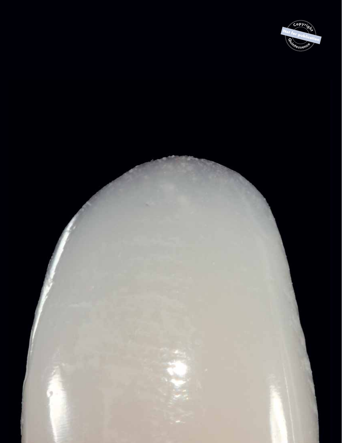

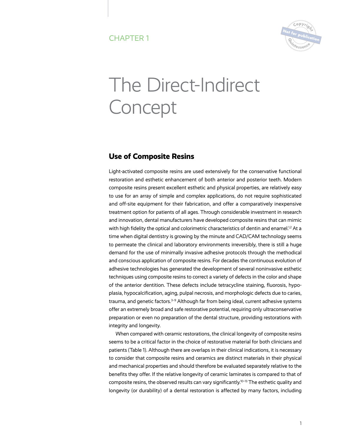# CHAPTER 1



# The Direct-Indirect Concept

# **Use of Composite Resins**

Light-activated composite resins are used extensively for the conservative functional restoration and esthetic enhancement of both anterior and posterior teeth. Modern composite resins present excellent esthetic and physical properties, are relatively easy to use for an array of simple and complex applications, do not require sophisticated and off-site equipment for their fabrication, and offer a comparatively inexpensive treatment option for patients of all ages. Through considerable investment in research and innovation, dental manufacturers have developed composite resins that can mimic with high fidelity the optical and colorimetric characteristics of dentin and enamel.<sup>1,2</sup> At a time when digital dentistry is growing by the minute and CAD/CAM technology seems to permeate the clinical and laboratory environments irreversibly, there is still a huge demand for the use of minimally invasive adhesive protocols through the methodical and conscious application of composite resins. For decades the continuous evolution of adhesive technologies has generated the development of several noninvasive esthetic techniques using composite resins to correct a variety of defects in the color and shape of the anterior dentition. These defects include tetracycline staining, fluorosis, hypoplasia, hypocalcification, aging, pulpal necrosis, and morphologic defects due to caries, trauma, and genetic factors.<sup>3-9</sup> Although far from being ideal, current adhesive systems offer an extremely broad and safe restorative potential, requiring only ultraconservative preparation or even no preparation of the dental structure, providing restorations with integrity and longevity.

When compared with ceramic restorations, the clinical longevity of composite resins seems to be a critical factor in the choice of restorative material for both clinicians and patients (Table 1). Although there are overlaps in their clinical indications, it is necessary to consider that composite resins and ceramics are distinct materials in their physical and mechanical properties and should therefore be evaluated separately relative to the benefits they offer. If the relative longevity of ceramic laminates is compared to that of composite resins, the observed results can vary significantly.<sup>10-13</sup> The esthetic quality and longevity (or durability) of a dental restoration is affected by many factors, including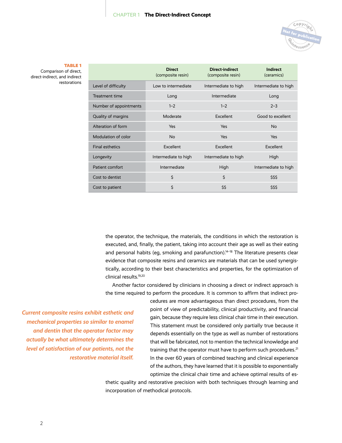

#### TABLE 1

Comparison of direct, direct-indirect, and indirect restorations

|                        | <b>Direct</b><br>(composite resin) | <b>Direct-indirect</b><br>(composite resin) | <b>Indirect</b><br>(ceramics) |
|------------------------|------------------------------------|---------------------------------------------|-------------------------------|
| Level of difficulty    | Low to intermediate                | Intermediate to high                        | Intermediate to high          |
| Treatment time         | Long                               | Intermediate                                | Long                          |
| Number of appointments | $1 - 2$                            | $1 - 2$                                     | $2 - 3$                       |
| Quality of margins     | Moderate                           | Excellent                                   | Good to excellent             |
| Alteration of form     | Yes                                | <b>Yes</b>                                  | <b>No</b>                     |
| Modulation of color    | <b>No</b>                          | <b>Yes</b>                                  | <b>Yes</b>                    |
| <b>Final esthetics</b> | Excellent                          | Excellent                                   | Excellent                     |
| Longevity              | Intermediate to high               | Intermediate to high                        | High                          |
| Patient comfort        | Intermediate                       | High                                        | Intermediate to high          |
| Cost to dentist        | \$                                 | \$                                          | \$\$\$                        |
| Cost to patient        | \$                                 | \$\$                                        | \$\$\$                        |

the operator, the technique, the materials, the conditions in which the restoration is executed, and, finally, the patient, taking into account their age as well as their eating and personal habits (eg, smoking and parafunction).<sup>14-18</sup> The literature presents clear evidence that composite resins and ceramics are materials that can be used synergistically, according to their best characteristics and properties, for the optimization of clinical results.19,20

Another factor considered by clinicians in choosing a direct or indirect approach is the time required to perform the procedure. It is common to affirm that indirect pro-

*Current composite resins exhibit esthetic and mechanical properties so similar to enamel and dentin that the operator factor may actually be what ultimately determines the level of satisfaction of our patients, not the restorative material itself.*

cedures are more advantageous than direct procedures, from the point of view of predictability, clinical productivity, and financial gain, because they require less clinical chair time in their execution. This statement must be considered only partially true because it depends essentially on the type as well as number of restorations that will be fabricated, not to mention the technical knowledge and training that the operator must have to perform such procedures.<sup>21</sup> In the over 60 years of combined teaching and clinical experience of the authors, they have learned that it is possible to exponentially optimize the clinical chair time and achieve optimal results of es-

thetic quality and restorative precision with both techniques through learning and incorporation of methodical protocols.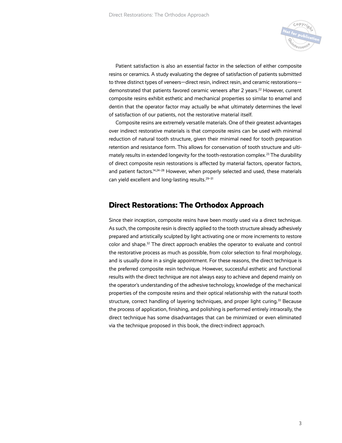

Patient satisfaction is also an essential factor in the selection of either composite resins or ceramics. A study evaluating the degree of satisfaction of patients submitted to three distinct types of veneers—direct resin, indirect resin, and ceramic restorations demonstrated that patients favored ceramic veneers after 2 years.<sup>22</sup> However, current composite resins exhibit esthetic and mechanical properties so similar to enamel and dentin that the operator factor may actually be what ultimately determines the level of satisfaction of our patients, not the restorative material itself.

Composite resins are extremely versatile materials. One of their greatest advantages over indirect restorative materials is that composite resins can be used with minimal reduction of natural tooth structure, given their minimal need for tooth preparation retention and resistance form. This allows for conservation of tooth structure and ultimately results in extended longevity for the tooth-restoration complex.<sup>23</sup> The durability of direct composite resin restorations is affected by material factors, operator factors, and patient factors.<sup>14,24-28</sup> However, when properly selected and used, these materials can yield excellent and long-lasting results.<sup>29-31</sup>

# **Direct Restorations: The Orthodox Approach**

Since their inception, composite resins have been mostly used via a direct technique. As such, the composite resin is directly applied to the tooth structure already adhesively prepared and artistically sculpted by light activating one or more increments to restore color and shape.32 The direct approach enables the operator to evaluate and control the restorative process as much as possible, from color selection to final morphology, and is usually done in a single appointment. For these reasons, the direct technique is the preferred composite resin technique. However, successful esthetic and functional results with the direct technique are not always easy to achieve and depend mainly on the operator's understanding of the adhesive technology, knowledge of the mechanical properties of the composite resins and their optical relationship with the natural tooth structure, correct handling of layering techniques, and proper light curing.<sup>33</sup> Because the process of application, finishing, and polishing is performed entirely intraorally, the direct technique has some disadvantages that can be minimized or even eliminated via the technique proposed in this book, the direct-indirect approach.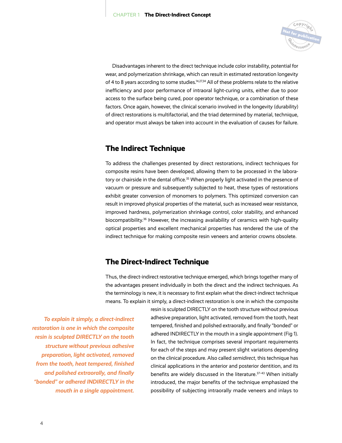

Disadvantages inherent to the direct technique include color instability, potential for wear, and polymerization shrinkage, which can result in estimated restoration longevity of 4 to 8 years according to some studies.<sup>14,27,34</sup> All of these problems relate to the relative inefficiency and poor performance of intraoral light-curing units, either due to poor access to the surface being cured, poor operator technique, or a combination of these factors. Once again, however, the clinical scenario involved in the longevity (durability) of direct restorations is multifactorial, and the triad determined by material, technique, and operator must always be taken into account in the evaluation of causes for failure.

# **The Indirect Technique**

To address the challenges presented by direct restorations, indirect techniques for composite resins have been developed, allowing them to be processed in the laboratory or chairside in the dental office.<sup>35</sup> When properly light activated in the presence of vacuum or pressure and subsequently subjected to heat, these types of restorations exhibit greater conversion of monomers to polymers. This optimized conversion can result in improved physical properties of the material, such as increased wear resistance, improved hardness, polymerization shrinkage control, color stability, and enhanced biocompatibility.<sup>36</sup> However, the increasing availability of ceramics with high-quality optical properties and excellent mechanical properties has rendered the use of the indirect technique for making composite resin veneers and anterior crowns obsolete.

# **The Direct-Indirect Technique**

Thus, the direct-indirect restorative technique emerged, which brings together many of the advantages present individually in both the direct and the indirect techniques. As the terminology is new, it is necessary to first explain what the direct-indirect technique means. To explain it simply, a direct-indirect restoration is one in which the composite

*To explain it simply, a direct-indirect restoration is one in which the composite resin is sculpted DIRECTLY on the tooth structure without previous adhesive preparation, light activated, removed from the tooth, heat tempered, finished and polished extraorally, and finally "bonded" or adhered INDIRECTLY in the mouth in a single appointment.* resin is sculpted DIRECTLY on the tooth structure without previous adhesive preparation, light activated, removed from the tooth, heat tempered, finished and polished extraorally, and finally "bonded" or adhered INDIRECTLY in the mouth in a single appointment (Fig 1). In fact, the technique comprises several important requirements for each of the steps and may present slight variations depending on the clinical procedure. Also called *semidirect*, this technique has clinical applications in the anterior and posterior dentition, and its benefits are widely discussed in the literature.<sup>37-43</sup> When initially introduced, the major benefits of the technique emphasized the possibility of subjecting intraorally made veneers and inlays to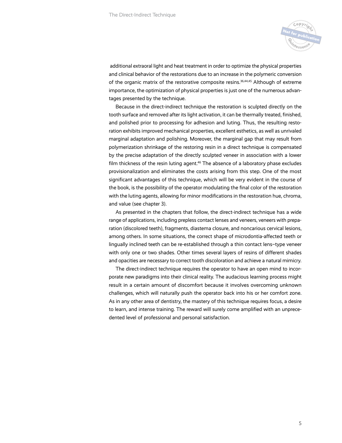

 additional extraoral light and heat treatment in order to optimize the physical properties and clinical behavior of the restorations due to an increase in the polymeric conversion of the organic matrix of the restorative composite resins.<sup>36,44,45</sup> Although of extreme importance, the optimization of physical properties is just one of the numerous advantages presented by the technique.

Because in the direct-indirect technique the restoration is sculpted directly on the tooth surface and removed after its light activation, it can be thermally treated, finished, and polished prior to processing for adhesion and luting. Thus, the resulting restoration exhibits improved mechanical properties, excellent esthetics, as well as unrivaled marginal adaptation and polishing. Moreover, the marginal gap that may result from polymerization shrinkage of the restoring resin in a direct technique is compensated by the precise adaptation of the directly sculpted veneer in association with a lower film thickness of the resin luting agent. $46$  The absence of a laboratory phase excludes provisionalization and eliminates the costs arising from this step. One of the most significant advantages of this technique, which will be very evident in the course of the book, is the possibility of the operator modulating the final color of the restoration with the luting agents, allowing for minor modifications in the restoration hue, chroma, and value (see chapter 3).

As presented in the chapters that follow, the direct-indirect technique has a wide range of applications, including prepless contact lenses and veneers, veneers with preparation (discolored teeth), fragments, diastema closure, and noncarious cervical lesions, among others. In some situations, the correct shape of microdontia-affected teeth or lingually inclined teeth can be re-established through a thin contact lens–type veneer with only one or two shades. Other times several layers of resins of different shades and opacities are necessary to correct tooth discoloration and achieve a natural mimicry.

The direct-indirect technique requires the operator to have an open mind to incorporate new paradigms into their clinical reality. The audacious learning process might result in a certain amount of discomfort because it involves overcoming unknown challenges, which will naturally push the operator back into his or her comfort zone. As in any other area of dentistry, the mastery of this technique requires focus, a desire to learn, and intense training. The reward will surely come amplified with an unprecedented level of professional and personal satisfaction.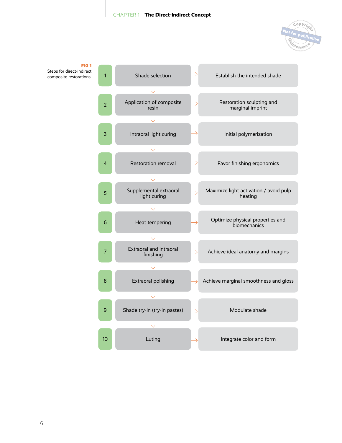#### CHAPTER 1 **The Direct-Indirect Concept**





# Steps for direct-indirect composite restorations.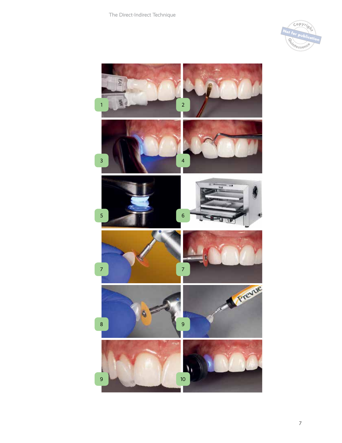

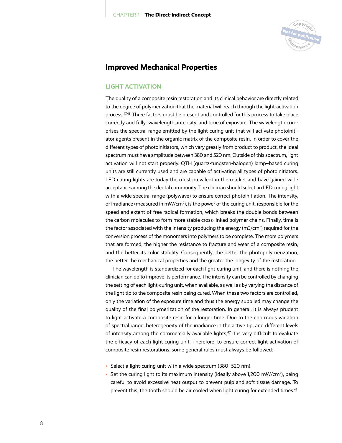

# **Improved Mechanical Properties**

# **LIGHT ACTIVATION**

The quality of a composite resin restoration and its clinical behavior are directly related to the degree of polymerization that the material will reach through the light-activation process.<sup>47,48</sup> Three factors must be present and controlled for this process to take place correctly and fully: wavelength, intensity, and time of exposure. The wavelength comprises the spectral range emitted by the light-curing unit that will activate photoinitiator agents present in the organic matrix of the composite resin. In order to cover the different types of photoinitiators, which vary greatly from product to product, the ideal spectrum must have amplitude between 380 and 520 nm. Outside of this spectrum, light activation will not start properly. QTH (quartz-tungsten-halogen) lamp–based curing units are still currently used and are capable of activating all types of photoinitiators. LED curing lights are today the most prevalent in the market and have gained wide acceptance among the dental community. The clinician should select an LED curing light with a wide spectral range (polywave) to ensure correct photoinitiation. The intensity, or irradiance (measured in mW/cm<sup>2</sup>), is the power of the curing unit, responsible for the speed and extent of free radical formation, which breaks the double bonds between the carbon molecules to form more stable cross-linked polymer chains. Finally, time is the factor associated with the intensity producing the energy (mJ/cm<sup>2</sup>) required for the conversion process of the monomers into polymers to be complete. The more polymers that are formed, the higher the resistance to fracture and wear of a composite resin, and the better its color stability. Consequently, the better the photopolymerization, the better the mechanical properties and the greater the longevity of the restoration.

The wavelength is standardized for each light-curing unit, and there is nothing the clinician can do to improve its performance. The intensity can be controlled by changing the setting of each light-curing unit, when available, as well as by varying the distance of the light tip to the composite resin being cured. When these two factors are controlled, only the variation of the exposure time and thus the energy supplied may change the quality of the final polymerization of the restoration. In general, it is always prudent to light activate a composite resin for a longer time. Due to the enormous variation of spectral range, heterogeneity of the irradiance in the active tip, and different levels of intensity among the commercially available lights,<sup>47</sup> it is very difficult to evaluate the efficacy of each light-curing unit. Therefore, to ensure correct light activation of composite resin restorations, some general rules must always be followed:

- Select a light-curing unit with a wide spectrum (380–520 nm).
- Set the curing light to its maximum intensity (ideally above 1,200 mW/cm<sup>2</sup>), being careful to avoid excessive heat output to prevent pulp and soft tissue damage. To prevent this, the tooth should be air cooled when light curing for extended times.<sup>49</sup>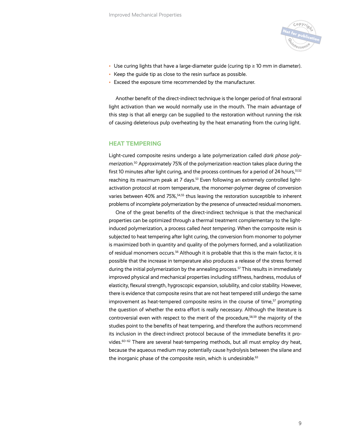

- Use curing lights that have a large-diameter guide (curing tip ≥ 10 mm in diameter).
- Keep the guide tip as close to the resin surface as possible.
- Exceed the exposure time recommended by the manufacturer.

Another benefit of the direct-indirect technique is the longer period of final extraoral light activation than we would normally use in the mouth. The main advantage of this step is that all energy can be supplied to the restoration without running the risk of causing deleterious pulp overheating by the heat emanating from the curing light.

# **HEAT TEMPERING**

Light-cured composite resins undergo a late polymerization called *dark phase polymerization.*50 Approximately 75% of the polymerization reaction takes place during the first 10 minutes after light curing, and the process continues for a period of 24 hours, 51,52 reaching its maximum peak at 7 days.<sup>53</sup> Even following an extremely controlled lightactivation protocol at room temperature, the monomer-polymer degree of conversion varies between 40% and 75%,<sup>54,55</sup> thus leaving the restoration susceptible to inherent problems of incomplete polymerization by the presence of unreacted residual monomers.

One of the great benefits of the direct-indirect technique is that the mechanical properties can be optimized through a thermal treatment complementary to the lightinduced polymerization, a process called *heat tempering*. When the composite resin is subjected to heat tempering after light curing, the conversion from monomer to polymer is maximized both in quantity and quality of the polymers formed, and a volatilization of residual monomers occurs.56 Although it is probable that this is the main factor, it is possible that the increase in temperature also produces a release of the stress formed during the initial polymerization by the annealing process.<sup>57</sup> This results in immediately improved physical and mechanical properties including stiffness, hardness, modulus of elasticity, flexural strength, hygroscopic expansion, solubility, and color stability. However, there is evidence that composite resins that are not heat tempered still undergo the same improvement as heat-tempered composite resins in the course of time,<sup>57</sup> prompting the question of whether the extra effort is really necessary. Although the literature is controversial even with respect to the merit of the procedure,<sup>58,59</sup> the majority of the studies point to the benefits of heat tempering, and therefore the authors recommend its inclusion in the direct-indirect protocol because of the immediate benefits it provides.60–62 There are several heat-tempering methods, but all must employ dry heat, because the aqueous medium may potentially cause hydrolysis between the silane and the inorganic phase of the composite resin, which is undesirable.<sup>63</sup>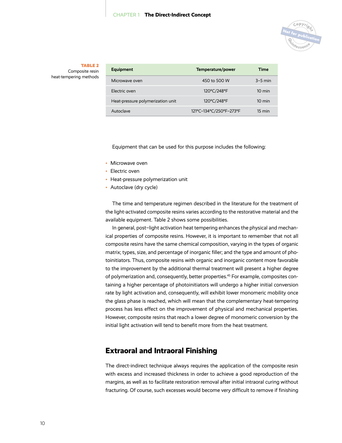

#### TABLE 2 Composite resin heat-tempering methods

| <b>Equipment</b>                  | Temperature/power       | <b>Time</b>      |
|-----------------------------------|-------------------------|------------------|
| Microwave oven                    | 450 to 500 W            | $3-5$ min        |
| Electric oven                     | 120°C/248°F             | $10 \text{ min}$ |
| Heat-pressure polymerization unit | 120°C/248°F             | $10 \text{ min}$ |
| Autoclave                         | 121°C-134°C/250°F-273°F | $15 \text{ min}$ |

Equipment that can be used for this purpose includes the following:

- Microwave oven
- Electric oven
- Heat-pressure polymerization unit
- Autoclave (dry cycle)

The time and temperature regimen described in the literature for the treatment of the light-activated composite resins varies according to the restorative material and the available equipment. Table 2 shows some possibilities.

In general, post–light activation heat tempering enhances the physical and mechanical properties of composite resins. However, it is important to remember that not all composite resins have the same chemical composition, varying in the types of organic matrix; types, size, and percentage of inorganic filler; and the type and amount of photoinitiators. Thus, composite resins with organic and inorganic content more favorable to the improvement by the additional thermal treatment will present a higher degree of polymerization and, consequently, better properties.<sup>45</sup> For example, composites containing a higher percentage of photoinitiators will undergo a higher initial conversion rate by light activation and, consequently, will exhibit lower monomeric mobility once the glass phase is reached, which will mean that the complementary heat-tempering process has less effect on the improvement of physical and mechanical properties. However, composite resins that reach a lower degree of monomeric conversion by the initial light activation will tend to benefit more from the heat treatment.

# **Extraoral and Intraoral Finishing**

The direct-indirect technique always requires the application of the composite resin with excess and increased thickness in order to achieve a good reproduction of the margins, as well as to facilitate restoration removal after initial intraoral curing without fracturing. Of course, such excesses would become very difficult to remove if finishing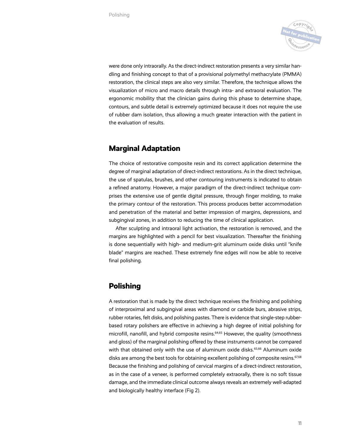

were done only intraorally. As the direct-indirect restoration presents a very similar handling and finishing concept to that of a provisional polymethyl methacrylate (PMMA) restoration, the clinical steps are also very similar. Therefore, the technique allows the visualization of micro and macro details through intra- and extraoral evaluation. The ergonomic mobility that the clinician gains during this phase to determine shape, contours, and subtle detail is extremely optimized because it does not require the use of rubber dam isolation, thus allowing a much greater interaction with the patient in the evaluation of results.

# **Marginal Adaptation**

The choice of restorative composite resin and its correct application determine the degree of marginal adaptation of direct-indirect restorations. As in the direct technique, the use of spatulas, brushes, and other contouring instruments is indicated to obtain a refined anatomy. However, a major paradigm of the direct-indirect technique comprises the extensive use of gentle digital pressure, through finger molding, to make the primary contour of the restoration. This process produces better accommodation and penetration of the material and better impression of margins, depressions, and subgingival zones, in addition to reducing the time of clinical application.

After sculpting and intraoral light activation, the restoration is removed, and the margins are highlighted with a pencil for best visualization. Thereafter the finishing is done sequentially with high- and medium-grit aluminum oxide disks until "knife blade" margins are reached. These extremely fine edges will now be able to receive final polishing.

# **Polishing**

A restoration that is made by the direct technique receives the finishing and polishing of interproximal and subgingival areas with diamond or carbide burs, abrasive strips, rubber rotaries, felt disks, and polishing pastes. There is evidence that single-step rubberbased rotary polishers are effective in achieving a high degree of initial polishing for microfill, nanofill, and hybrid composite resins.<sup>64,65</sup> However, the quality (smoothness and gloss) of the marginal polishing offered by these instruments cannot be compared with that obtained only with the use of aluminum oxide disks.<sup>65,66</sup> Aluminum oxide disks are among the best tools for obtaining excellent polishing of composite resins. $67,68$ Because the finishing and polishing of cervical margins of a direct-indirect restoration, as in the case of a veneer, is performed completely extraorally, there is no soft tissue damage, and the immediate clinical outcome always reveals an extremely well-adapted and biologically healthy interface (Fig 2).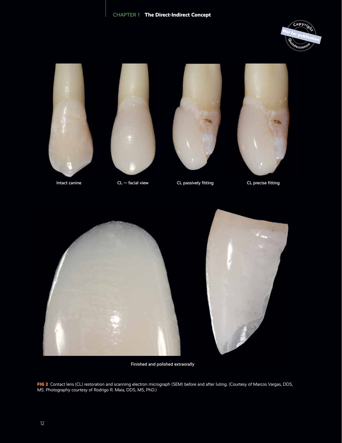#### CHAPTER 1 **The Direct-Indirect Concept**





Finished and polished extraorally

FIG 2 Contact lens (CL) restoration and scanning electron micrograph (SEM) before and after luting. (Courtesy of Marcos Vargas, DDS, MS. Photography courtesy of Rodrigo R. Maia, DDS, MS, PhD.)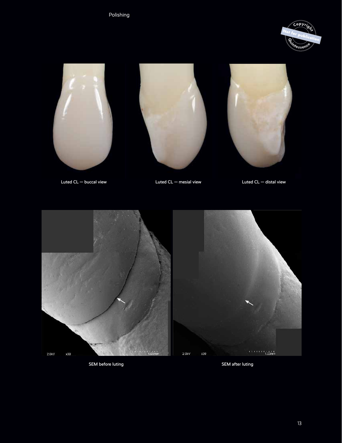







Luted CL — buccal view Luted CL — mesial view Luted CL — distal view

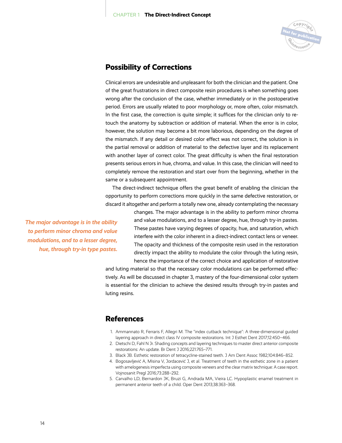

# **Possibility of Corrections**

Clinical errors are undesirable and unpleasant for both the clinician and the patient. One of the great frustrations in direct composite resin procedures is when something goes wrong after the conclusion of the case, whether immediately or in the postoperative period. Errors are usually related to poor morphology or, more often, color mismatch. In the first case, the correction is quite simple; it suffices for the clinician only to retouch the anatomy by subtraction or addition of material. When the error is in color, however, the solution may become a bit more laborious, depending on the degree of the mismatch. If any detail or desired color effect was not correct, the solution is in the partial removal or addition of material to the defective layer and its replacement with another layer of correct color. The great difficulty is when the final restoration presents serious errors in hue, chroma, and value. In this case, the clinician will need to completely remove the restoration and start over from the beginning, whether in the same or a subsequent appointment.

The direct-indirect technique offers the great benefit of enabling the clinician the opportunity to perform corrections more quickly in the same defective restoration, or discard it altogether and perform a totally new one, already contemplating the necessary

*The major advantage is in the ability to perform minor chroma and value modulations, and to a lesser degree, hue, through try-in type pastes.*

changes. The major advantage is in the ability to perform minor chroma and value modulations, and to a lesser degree, hue, through try-in pastes. These pastes have varying degrees of opacity, hue, and saturation, which interfere with the color inherent in a direct-indirect contact lens or veneer. The opacity and thickness of the composite resin used in the restoration directly impact the ability to modulate the color through the luting resin, hence the importance of the correct choice and application of restorative

and luting material so that the necessary color modulations can be performed effectively. As will be discussed in chapter 3, mastery of the four-dimensional color system is essential for the clinician to achieve the desired results through try-in pastes and luting resins.

# **References**

- 1. Ammannato R, Ferraris F, Allegri M. The "index cutback technique": A three-dimensional guided layering approach in direct class IV composite restorations. Int J Esthet Dent 2017;12:450–466.
- 2. Dietschi D, Fahl N Jr. Shading concepts and layering techniques to master direct anterior composite restorations: An update. Br Dent J 2016;221:765–771.
- 3. Black JB. Esthetic restoration of tetracycline-stained teeth. J Am Dent Assoc 1982;104:846–852.
- 4. Bogosavljević A, Misina V, Jordacević J, et al. Treatment of teeth in the esthetic zone in a patient with amelogenesis imperfecta using composite veneers and the clear matrix technique: A case report. Vojnosanit Pregl 2016;73:288–292.
- 5. Carvalho LD, Bernardon JK, Bruzi G, Andrada MA, Vieira LC. Hypoplastic enamel treatment in permanent anterior teeth of a child. Oper Dent 2013;38:363–368.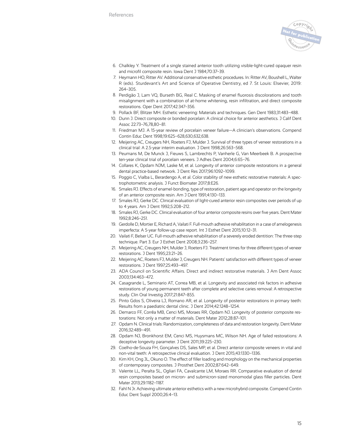

- 6. Chalkley Y. Treatment of a single stained anterior tooth utilizing visible-light-cured opaquer resin and microfil composite resin. Iowa Dent J 1984;70:37–39.
- 7. Heymann HO, Ritter AV. Additional conservative esthetic procedures. In: Ritter AV, Boushell L, Walter R (eds). Sturdevant's Art and Science of Operative Dentistry, ed 7. St Louis: Elsevier, 2019: 264–305.
- 8. Perdigão J, Lam VQ, Burseth BG, Real C. Masking of enamel fluorosis discolorations and tooth misalignment with a combination of at-home whitening, resin infiltration, and direct composite restorations. Oper Dent 2017;42:347–356.
- 9. Pollack BF, Blitzer MH. Esthetic veneering: Materials and techniques. Gen Dent 1983;31:483–488.
- 10. Dunn J. Direct composite or bonded porcelain: A clinical choice for anterior aesthetics. J Calif Dent Assoc 22:73–76,78,80–81.
- 11. Friedman MJ. A 15-year review of porcelain veneer failure—A clinician's observations. Compend Contin Educ Dent 1998;19:625–628,630,632,638.
- 12. Meijering AC, Creugers NH, Roeters FJ, Mulder J. Survival of three types of veneer restorations in a clinical trial: A 2.5-year interim evaluation. J Dent 1998;26:563–568.
- 13. Peumans M, De Munck J, Fieuws S, Lambrechts P, Vanherle G, Van Meerbeek B. A prospective ten-year clinical trial of porcelain veneers. J Adhes Dent 2004;6:65–76.
- 14. Collares K, Opdam NJM, Laske M, et al. Longevity of anterior composite restorations in a general dental practice-based network. J Dent Res 2017;96:1092–1099.
- 15. Poggio C, Vialba L, Berardengo A, et al. Color stability of new esthetic restorative materials: A spectrophotometric analysis. J Funct Biomater 2017;8:E26.
- 16. Smales RJ. Effects of enamel-bonding, type of restoration, patient age and operator on the longevity of an anterior composite resin. Am J Dent 1991;4:130–133.
- 17. Smales RJ, Gerke DC. Clinical evaluation of light-cured anterior resin composites over periods of up to 4 years. Am J Dent 1992;5:208–212.
- 18. Smales RJ, Gerke DC. Clinical evaluation of four anterior composite resins over five years. Dent Mater 1992;8:246–251.
- 19. Gerdolle D, Mortier E, Richard A, Vailati F. Full-mouth adhesive rehabilitation in a case of amelogenesis imperfecta: A 5-year follow-up case report. Int J Esthet Dent 2015;10:12–31.
- 20. Vailati F, Belser UC. Full-mouth adhesive rehabilitation of a severely eroded dentition: The three-step technique. Part 3. Eur J Esthet Dent 2008;3:236–257.
- 21. Meijering AC, Creugers NH, Mulder J, Roeters FJ. Treatment times for three different types of veneer restorations. J Dent 1995;23:21–26.
- 22. Meijering AC, Roeters FJ, Mulder J, Creugers NH. Patients' satisfaction with different types of veneer restorations. J Dent 1997;25:493–497.
- 23. ADA Council on Scientific Affairs. Direct and indirect restorative materials. J Am Dent Assoc 2003;134:463–472.
- 24. Casagrande L, Seminario AT, Correa MB, et al. Longevity and associated risk factors in adhesive restorations of young permanent teeth after complete and selective caries removal: A retrospective study. Clin Oral Investig 2017;21:847–855.
- 25. Pinto Gdos S, Oliveira LJ, Romano AR, et al. Longevity of posterior restorations in primary teeth: Results from a paediatric dental clinic. J Dent 2014;42:1248–1254.
- 26. Demarco FF, Corrêa MB, Cenci MS, Moraes RR, Opdam NJ. Longevity of posterior composite restorations: Not only a matter of materials. Dent Mater 2012;28:87–101.
- 27. Opdam N. Clinical trials: Randomization, completeness of data and restoration longevity. Dent Mater 2016;32:489–491.
- 28. Opdam NJ, Bronkhorst EM, Cenci MS, Huysmans MC, Wilson NH. Age of failed restorations: A deceptive longevity parameter. J Dent 2011;39:225–230.
- 29. Coelho-de-Souza FH, Gonçalves DS, Sales MP, et al. Direct anterior composite veneers in vital and non-vital teeth: A retrospective clinical evaluation. J Dent 2015;43:1330–1336.
- 30. Kim KH, Ong JL, Okuno O. The effect of filler loading and morphology on the mechanical properties of contemporary composites. J Prosthet Dent 2002;87:642–649.
- 31. Valente LL, Peralta SL, Ogliari FA, Cavalcante LM, Moraes RR. Comparative evaluation of dental resin composites based on micron- and submicron-sized monomodal glass filler particles. Dent Mater 2013;29:1182–1187.
- 32. Fahl N Jr. Achieving ultimate anterior esthetics with a new microhybrid composite. Compend Contin Educ Dent Suppl 2000;26:4–13.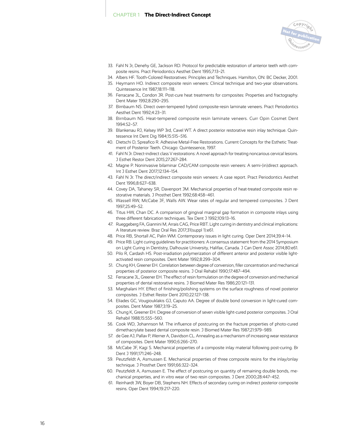#### CHAPTER 1 **The Direct-Indirect Concept**



- 33. Fahl N Jr, Denehy GE, Jackson RD. Protocol for predictable restoration of anterior teeth with composite resins. Pract Periodontics Aesthet Dent 1995;7:13–21.
- 34. Albers HF. Tooth-Colored Restoratives: Principles and Techniques. Hamilton, ON: BC Decker, 2001.
- 35. Heymann HO. Indirect composite resin veneers: Clinical technique and two-year observations. Quintessence Int 1987;18:111–118.
- 36. Ferracane JL, Condon JR. Post-cure heat treatments for composites: Properties and fractography. Dent Mater 1992;8:290–295.
- 37. Birnbaum NS. Direct oven-tempered hybrid composite-resin laminate veneers. Pract Periodontics Aesthet Dent 1992;4:23–31.
- 38. Birnbaum NS. Heat-tempered composite resin laminate veneers. Curr Opin Cosmet Dent 1994:52–57.
- 39. Blankenau RJ, Kelsey WP 3rd, Cavel WT. A direct posterior restorative resin inlay technique. Quintessence Int Dent Dig 1984;15:515–516.
- 40. Dietschi D, Spreafico R. Adhesive Metal-Free Restorations. Current Concepts for the Esthetic Treatment of Posterior Teeth. Chicago: Quintessence, 1997.
- 41. Fahl N Jr. Direct-indirect class V restorations: A novel approach for treating noncarious cervical lesions. J Esthet Restor Dent 2015;27:267–284.
- 42. Magne P. Noninvasive bilaminar CAD/CAM composite resin veneers: A semi-(in)direct approach. Int J Esthet Dent 2017;12:134–154.
- 43. Fahl N Jr. The direct/indirect composite resin veneers: A case report. Pract Periodontics Aesthet Dent 1996;8:627–638.
- 44. Covey DA, Tahaney SR, Davenport JM. Mechanical properties of heat-treated composite resin restorative materials. J Prosthet Dent 1992;68:458–461.
- 45. Wassell RW, McCabe JF, Walls AW. Wear rates of regular and tempered composites. J Dent 1997;25:49–52.
- 46. Titus HW, Chan DC. A comparison of gingival marginal gap formation in composite inlays using three different fabrication techniques. Tex Dent J 1992;109:13–16.
- 47. Rueggeberg FA, Giannini M, Arrais CAG, Price RBT. Light curing in dentistry and clinical implications: A literature review. Braz Oral Res 2017;31(suppl 1):e61.
- 48. Price RB, Shortall AC, Palin WM. Contemporary issues in light curing. Oper Dent 2014;39:4–14.
- 49. Price RB. Light curing guidelines for practitioners: A consensus statement from the 2014 Symposium on Light Curing in Dentistry, Dalhousie University, Halifax, Canada. J Can Dent Assoc 2014;80:e61.
- 50. Pilo R, Cardash HS. Post-irradiation polymerization of different anterior and posterior visible lightactivated resin composites. Dent Mater 1992;8:299–304.
- 51. Chung KH, Greener EH. Correlation between degree of conversion, filler concentration and mechanical properties of posterior composite resins. J Oral Rehabil 1990;17:487–494.
- 52. Ferracane JL, Greener EH. The effect of resin formulation on the degree of conversion and mechanical properties of dental restorative resins. J Biomed Mater Res 1986;20:121–131.
- 53. Marghalani HY. Effect of finishing/polishing systems on the surface roughness of novel posterior composites. J Esthet Restor Dent 2010;22:127–138.
- 54. Eliades GC, Vougiouklakis GJ, Caputo AA. Degree of double bond conversion in light-cured composites. Dent Mater 1987;3:19–25.
- 55. Chung K, Greener EH. Degree of conversion of seven visible light-cured posterior composites. J Oral Rehabil 1988;15:555–560.
- 56. Cook WD, Johannson M. The influence of postcuring on the fracture properties of photo-cured dimethacrylate based dental composite resin. J Biomed Mater Res 1987;21:979–989.
- 57. de Gee AJ, Pallav P, Werner A, Davidson CL. Annealing as a mechanism of increasing wear resistance of composites. Dent Mater 1990;6:266–270.
- 58. McCabe JF, Kagi S. Mechanical properties of a composite inlay material following post-curing. Br Dent J 1991;171:246–248.
- 59. Peutzfeldt A, Asmussen E. Mechanical properties of three composite resins for the inlay/onlay technique. J Prosthet Dent 1991;66:322–324.
- 60. Peutzfeldt A, Asmussen E. The effect of postcuring on quantity of remaining double bonds, mechanical properties, and in vitro wear of two resin composites. J Dent 2000;28:447–452.
- 61. Reinhardt JW, Boyer DB, Stephens NH. Effects of secondary curing on indirect posterior composite resins. Oper Dent 1994;19:217–220.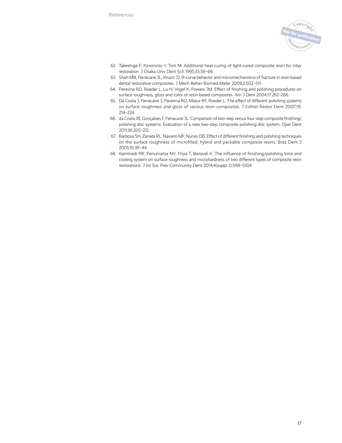

- 62. Takeshige F, Kinomoto Y, Torii M. Additional heat-curing of light-cured composite resin for inlay restoration. J Osaka Univ Dent Sch 1995;35:59–66.
- 63. Shah MB, Ferracane JL, Kruzic JJ. R-curve behavior and micromechanisms of fracture in resin based dental restorative composites. J Mech Behav Biomed Mater 2009;2:502–511.
- 64. Paravina RD, Roeder L, Lu H, Vogel K, Powers JM. Effect of finishing and polishing procedures on surface roughness, gloss and color of resin-based composites. Am J Dent 2004;17:262–266.
- 65. Da Costa J, Ferracane J, Paravina RD, Mazur RF, Roeder L. The effect of different polishing systems on surface roughness and gloss of various resin composites. J Esthet Restor Dent 2007;19: 214–224.
- 66. da Costa JB, Gonçalves F, Ferracane JL. Comparison of two-step versus four-step composite finishing/ polishing disc systems: Evaluation of a new two-step composite polishing disc system. Oper Dent 2011;36:205–212.
- 67. Barbosa SH, Zanata RL, Navarro MF, Nunes OB. Effect of different finishing and polishing techniques on the surface roughness of microfilled, hybrid and packable composite resins. Braz Dent J 2005;16:39–44.
- 68. Kaminedi RR, Penumatsa NV, Priya T, Baroudi K. The influence of finishing/polishing time and cooling system on surface roughness and microhardness of two different types of composite resin restorations. J Int Soc Prev Community Dent 2014;4(suppl 2):S99–S104.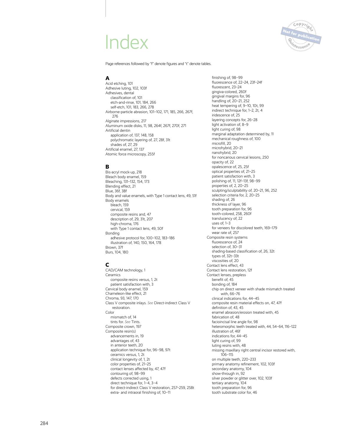# Index



Page references followed by "f" denote figures and "t" denote tables.

# **A**

Acid etching, 101 Adhesive luting, 102, 103f Adhesives, dental classification of, 101 etch-and-rinse, 101, 184, 266 self-etch, 101, 183, 266, 278 Airborne-particle abrasion, 101–102, 171, 185, 266, 267f, 276 Alginate impressions, 217 Aluminum oxide disks, 11, 98, 264f, 267f, 270f, 271 Artificial dentin application of, 137, 148, 158 polychromatic layering of, 27, 28f, 31t shades of, 27, 29 Artificial enamel, 27, 137 Atomic force microscopy, 255f

# **B**

Bis-acryl mock-up, 218 Bleach body enamel, 159 Bleaching, 131–132, 154, 173 Blending effect, 21 Blue, 36f, 38f Body and value enamels, with Type 1 contact lens, 49, 51f Body enamels bleach, 159 cervical, 159 composite resins and, 47 description of, 29, 31t, 207 high-chroma, 176 with Type 1 contact lens, 49, 50f Bonding adhesive protocol for, 100–102, 183–186 illustration of, 140, 150, 164, 178 Brown, 37f Burs, 104, 180

# **C**

CAD/CAM technology, 1 Ceramics composite resins versus, 1, 2t patient satisfaction with, 3 Cervical body enamel, 159 Chameleon-like effect, 21 Chroma, 93, 147, 170 Class V composite inlays. *See* Direct-indirect Class V restoration. Color mismatch of, 14 tints for. *See* Tints. Composite crown, 197 Composite resin(s) advancements in, 19 advantages of, 43 in anterior teeth, 20 application technique for, 96–98, 97t ceramics versus, 1, 2t clinical longevity of, 1, 2t color properties of, 21–25 contact lenses affected by, 47, 47f contouring of, 98–99 defects corrected using, 1 direct technique for, 1–4, 3–4 for direct-indirect Class V restoration, 257–259, 258t extra- and intraoral finishing of, 10–11

finishing of, 98–99 fluorescence of, 22–24, 23f–24f fluorescent, 23–24 gingiva-colored, 260f gingival margins for, 96 handling of, 20–21, 252 heat tempering of, 9-10, 10t, 99 indirect technique for, 1–2, 2t, 4 iridescence of, 25 layering concepts for, 26–28 light activation of, 8-9 light curing of, 98 marginal adaptation determined by, 11 mechanical roughness of, 100 microfill, 20 microhybrid, 20–21 nanohybrid, 20 for noncarious cervical lesions, 250 opacity of, 22 opalescence of, 25, 25f optical properties of, 21–25 patient satisfaction with, 3 polishing of, 11, 12f–13f, 98–99 properties of, 2, 20–25 sculpting/sculptability of, 20–21, 96, 252 selection criteria for, 2, 20–25 shading of, 26 thickness of layer, 96 tooth preparation for, 96 tooth-colored, 258, 260f translucency of, 22 uses of, 1–3 for veneers for discolored teeth, 169–179 wear rate of, 257 Composite resin systems fluorescence of, 24 selection of, 30–31 shading-based classification of, 26, 32t types of, 32t–33t viscosities of, 20 Contact lens effect, 43 Contact lens restoration, 12f Contact lenses, prepless benefit of, 45 bonding of, 184 chip on direct veneer with shade mismatch treated with, 66–76 clinical indications for, 44–45 composite resin material effects on, 47, 47f definition of, 43, 45 enamel abrasion/erosion treated with, 45 fabrication of, 48 facioincisal line angle for, 98 heteromorphic teeth treated with, 44, 54–64, 116–122 illustration of, 46f indications for, 44–45 light curing of, 99 luting resins with, 48 missing maxillary right central incisor restored with, 106–115 on multiple teeth, 220–233 primary anatomy refinement, 102, 103f secondary anatomy, 104 show-through in, 92 silver powder or glitter over, 102, 103f tertiary anatomy, 104 tooth preparation for, 96 tooth substrate color for, 46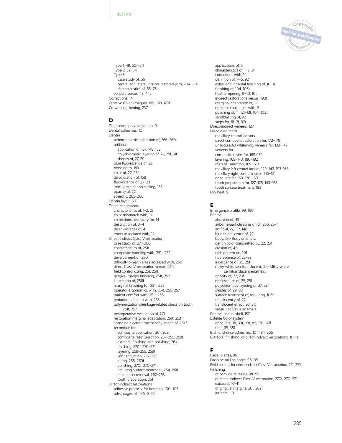

Type 1, 49, 50f–51f Type 2, 52–64 Type 3 case study of, 66 central and lateral incisors restored with, 204–214 characteristics of, 65–76 veneers versus, 43, 44t Corrections, 14 Creative Color Opaquer, 169–170, 170f Crown lengthening, 237

# **D**

Dark phase polymerization, 9 Dental adhesives, 101 Dentin airborne-particle abrasion of, 266, 267f artificial application of, 137, 148, 158 polychromatic layering of, 27, 28f, 31t shades of, 27, 29 blue fluorescence of, 22 bonding to, 183 color of, 22, 23f discoloration of, 158 fluorescence of, 22–23 immediate dentin sealing, 185 opacity of, 22 sclerotic, 265–266 Dentin layer, 180 Direct restorations characteristics of, 1–2, 2t color mismatch with, 14 corrections necessary for, 14 description of, 3–4 disadvantages of, 4 errors associated with, 14 Direct-indirect Class V restoration case study of, 271–280 characteristics of, 251t composite handling with, 251t, 252 development of, 250 difficult-to-reach areas accessed with, 250 direct Class V restoration versus, 251t field control using, 251, 251t gingival margin finishing, 251t, 252 illustration of, 256f marginal finishing for, 251t, 252 operator ergonomics with, 251t, 256–257 patient comfort with, 251t, 256 periodontal health with, 253 polymerization shrinkage-related stress on tooth, 251t, 252 postoperative evaluation of, 271 restoration marginal adaptation, 251t, 253 scanning electron microscopy image of, 254f technique for composite application, 261, 262f composite resin selection, 257–259, 258t extraoral finishing and polishing, 264 finishing, 270f, 270–271 layering, 258–259, 259f light activation, 262-263 luting, 268, 269f polishing, 270f, 270–271 preluting surface treatment, 264–268 restoration removal, 262–263 tooth preparation, 261 Direct-indirect restorations adhesive protocol for bonding, 100–102 advantages of, 4–5, 9, 92

applications of, 5 characteristics of, 1–2, 2t corrections with, 14 definition of, 4–5, 92 extra- and intraoral finishing of, 10–11 finishing of, 104, 105t heat tempering, 9–10, 10t indirect restorations versus, 192t marginal adaptation of, 11 operator challenges with, 5 polishing of, 11, 12f–13f, 104, 105t sandblasting of, 92 steps for, 6f–7f, 97t Direct-indirect veneers, 127 Discolored teeth maxillary central incisors direct composite restoration for, 172–179 unsuccessful whitening, veneers for, 129–142 veneers for composite resins for, 169–179 layering, 169–170, 180–182 material selection, 169–170 maxillary left central incisor, 129–142, 153–168 maxillary right central incisor, 145–151 opaquers for, 169–170, 180 tooth preparation for, 127–128, 143–168 tooth surface treatment, 183 Dry heat, 9

# **E**

Emergence profile, 99, 160 Enamel abrasion of, 45 airborne-particle abrasion of, 266, 267f artificial, 27, 137, 148 blue fluorescence of, 22 body. *See* Body enamels. dentin color transmitted by, 22, 23f erosion of, 45 etch pattern on, 101 fluorescence of, 22–23 iridescence of, 25, 25f milky-white semitranslucent. *See* Milky-white semitranslucent enamels. opacity of, 22, 23f opalescence of, 25, 25f polychromatic layering of, 27, 28f shades of, 29–30 surface treatment of, for luting, 103f translucency of, 22 translucent effect, 30, 31t value. *See* Value enamels. Enamel lingual shell, 157 Estelite Color system opaquers, 38, 39f, 39t, 89, 170, 171f tints, 35, 38f Etch-and-rinse adhesives, 101, 184, 266 Extraoral finishing, of direct-indirect restorations, 10–11

# **F**

Facial planes, 99 Facioincisal line angle, 98–99 Field control, for direct-indirect Class V restoration, 251, 251t Finishing of composite resins, 98–99 of direct-indirect Class V restoration, 270f, 270–271 extraoral, 10–11 of gingival margins, 261, 262f intraoral, 10–11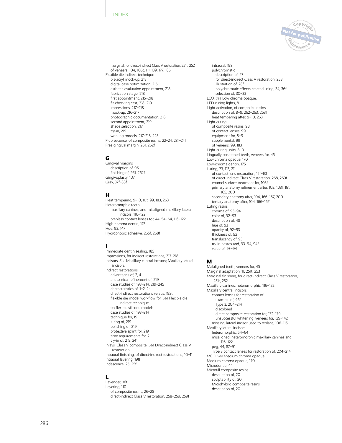# INDEX



marginal, for direct-indirect Class V restoration, 251t, 252 of veneers, 104, 105t, 111, 139, 177, 186 Flexible die indirect technique bis-acryl mock-up, 218 digital case optimization, 216 esthetic evaluation appointment, 218 fabrication stage, 218 first appointment, 215–218 fit-checking cast, 218–219 impressions, 217–218 mock-up, 216–217 photographic documentation, 216 second appointment, 219 shade selection, 217 try-in, 219 working models, 217–218, 225 Fluorescence, of composite resins, 22–24, 23f–24f Free gingival margin, 261, 262f

## **G**

Gingival margins description of, 96 finishing of, 261, 262f Gingivoplasty, 107 Gray, 37f–38f

## **H**

Heat tempering, 9–10, 10t, 99, 183, 263 Heteromorphic teeth maxillary canines, and misaligned maxillary lateral incisors, 116–122 prepless contact lenses for, 44, 54–64, 116–122 High-chroma dentin, 175 Hue, 93, 147 Hydrophobic adhesive, 265f, 268f

## **I**

Immediate dentin sealing, 185 Impressions, for indirect restorations, 217–218 Incisors. *See* Maxillary central incisors; Maxillary lateral incisors. Indirect restorations advantages of, 2, 4 anatomical refinement of, 219 case studies of, 193–214, 219–245 characteristics of, 1–2, 2t direct-indirect restorations versus, 192t flexible die model workflow for. *See* Flexible die indirect technique. on flexible silicone models case studies of, 193–214 technique for, 191 luting of, 219 polishing of, 219 protective splint for, 219 time requirements for, 2 try-in of, 219, 241 Inlays, Class V composite. *See* Direct-indirect Class V restoration. Intraoral finishing, of direct-indirect restorations, 10–11 Intraoral layering, 198 Iridescence, 25, 25f

# **L**

Lavender, 36f Layering, 110 of composite resins, 26–28 direct-indirect Class V restoration, 258–259, 259f

intraoral, 198 polychromatic description of, 27 for direct-indirect Class V restoration, 258 illustration of, 28f polychromatic effects created using, 34, 36f selection of, 30–33 LCO. *See* Low chroma opaque. LED curing lights, 8 Light activation, of composite resins description of, 8–9, 262–263, 263f heat tempering after, 9–10, 263 Light curing of composite resins, 98 of contact lenses, 99 equipment for, 8–9 supplemental, 99 of veneers, 99, 183 Light-curing units, 8–9 Lingually positioned teeth, veneers for, 45 Low chroma opaque, 170 Low-chroma dentin, 175 Luting, 73, 113, 211 of contact lens restoration, 12f–13f of direct-indirect Class V restoration, 268, 269f enamel surface treatment for, 103f primary anatomy refinement after, 102, 103f, 161, 165, 200 secondary anatomy after, 104, 166–167, 200 tertiary anatomy after, 104, 166–167 Luting resins chroma of, 93–94 color of, 92–93 description of, 48 hue of, 93 opacity of, 92–93 thickness of, 92 translucency of, 93 try-in pastes and, 93–94, 94f value of, 93–94

#### **M**

Malaligned teeth, veneers for, 45 Marginal adaptation, 11, 251t, 253 Marginal finishing, for direct-indirect Class V restoration, 251t, 252 Maxillary canines, heteromorphic, 116–122 Maxillary central incisors contact lenses for restoration of example of, 46f Type 3, 204–214 discolored direct composite restoration for, 172–179 unsuccessful whitening, veneers for, 129–142 missing, lateral incisor used to replace, 106–115 Maxillary lateral incisors heteromorphic, 54–64 misaligned, heteromorphic maxillary canines and, 116–122 peg, 44, 87–91 Type 3 contact lenses for restoration of, 204–214 MCO. *See* Medium chroma opaque. Medium chroma opaque, 170 Microdontia, 44 Microfill composite resins description of, 20 sculptability of, 20 Microhybrid composite resins description of, 20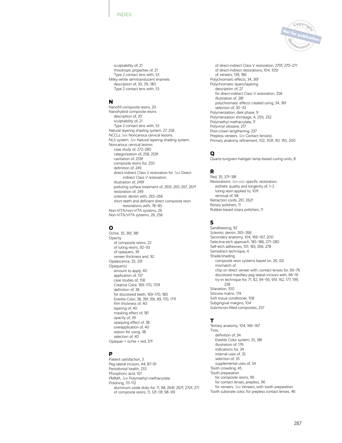#### INDEX



sculptability of, 21 thixotropic properties of, 21 Type 2 contact lens with, 53 Milky-white semitranslucent enamels description of, 30, 31t, 180 Type 2 contact lens with, 53

## **N**

Nanofill composite resins, 20 Nanohybrid composite resins description of, 20 sculptability of, 21 Type 2 contact lens with, 53 Natural layering shading system, 27, 258 NCCLs. *See* Noncarious cervical lesions. NLS system. *See* Natural layering shading system. Noncarious cervical lesions case study of, 272–280 categorization of, 258, 259f cavitation of, 259f composite resins for, 250 definition of, 249 direct-indirect Class V restoration for. *See* Directindirect Class V restoration. illustration of, 249f preluting surface treatment of, 265f, 265–267, 267f restoration of, 249 sclerotic dentin with, 265–266 short teeth and deficient direct composite resin restorations with, 78–85 Non-VITA/non-VITA systems, 26 Non-VITA/VITA systems, 26, 258

#### **O**

Ochre, 35, 36f, 38f Opacity of composite resins, 22 of luting resins, 92–93 of opaquers, 39 veneer thickness and, 92 Opalescence, 25, 25f Opaquer(s) amount to apply, 40 application of, 137 case studies of, 158 Creative Color, 169–170, 170f definition of, 38 for discolored teeth, 169–170, 180 Estelite Color, 38, 39f, 39t, 89, 170, 171f film thickness of, 40 layering of, 40 masking effect of, 181 opacity of, 39 opaquing effect of, 38 overapplication of, 40 reason for using, 38 selection of, 40 Opaquer + ochre + red, 37f

## **P**

Patient satisfaction, 3 Peg lateral incisors, 44, 87–91 Periodontal health, 253 Phosphoric acid, 101 PMMA. *See* Polymethyl methacrylate. Polishing, 111–112 aluminum oxide disks for, 11, 98, 264f, 267f, 270f, 271 of composite resins, 11, 12f–13f, 98–99

of direct-indirect Class V restoration, 270f, 270–271 of direct-indirect restorations, 104, 105t of veneers, 139, 186 Polychromatic effects, 34, 36f Polychromatic layers/layering description of, 27 for direct-indirect Class V restoration, 258 illustration of, 28f polychromatic effects created using, 34, 36f selection of, 30–33 Polymerization, dark phase, 9 Polymerization shrinkage, 4, 251t, 252 Polymethyl methacrylate, 11 Polyvinyl siloxane, 217 Post-crown lengthening, 237 Prepless veneers. *See* Contact lens(es). Primary anatomy refinement, 102, 103f, 161, 165, 200

# **Q**

Quartz-tungsten-halogen lamp-based curing units, 8

## **R**

Red, 35, 37f–38f Restorations. *See also* specific restoration. esthetic quality and longevity of, 1–2 luting resin applied to, 101f removal of, 98 Retraction cords, 261, 262f Rotary polishers, 11 Rubber-based rotary polishers, 11

# **S**

Sandblasting, 92 Sclerotic dentin, 265–266 Secondary anatomy, 104, 166–167, 200 Selective-etch approach, 185–186, 271–280 Self-etch adhesives, 101, 183, 266, 278 Semidirect technique, 4 Shade/shading composite resin systems based on, 26, 32t mismatch of chip on direct veneer with, contact lenses for, 66–76 discolored maxillary peg lateral incisors with, 86–91 try-in technique for, 71, 82, 94–95, 95f, 162, 177, 199, 228 Silanation, 100 Silicone matrix, 174 Soft tissue conditioner, 108 Subgingival margins, 104 Submicron-filled composites, 257

## **T**

Tertiary anatomy, 104, 166–167 Tints definition of, 34 Estelite Color system, 35, 38f illustration of, 176 indications for, 34 internal uses of, 35 selection of, 35 supplemental uses of, 34 Tooth crowding, 45 Tooth preparation for composite resins, 96 for contact lenses, prepless, 96 for veneers. *See* Veneers, with tooth preparation. Tooth substrate color, for prepless contact lenses, 46